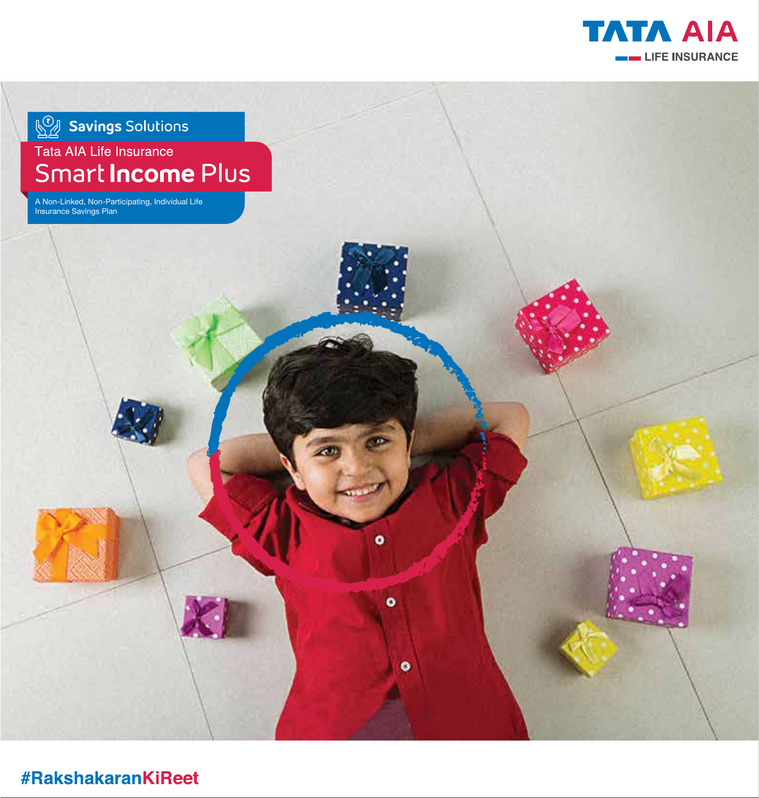

**Savings** Solutions

# Tata AIA Life Insurance Smart **Income** Plus

 $\bullet$ 

 $\bullet$ 

 $\bullet$ 

A Non-Linked, Non-Participating, Individual Life Insurance Savings Plan

**#RakshakaranKiReet**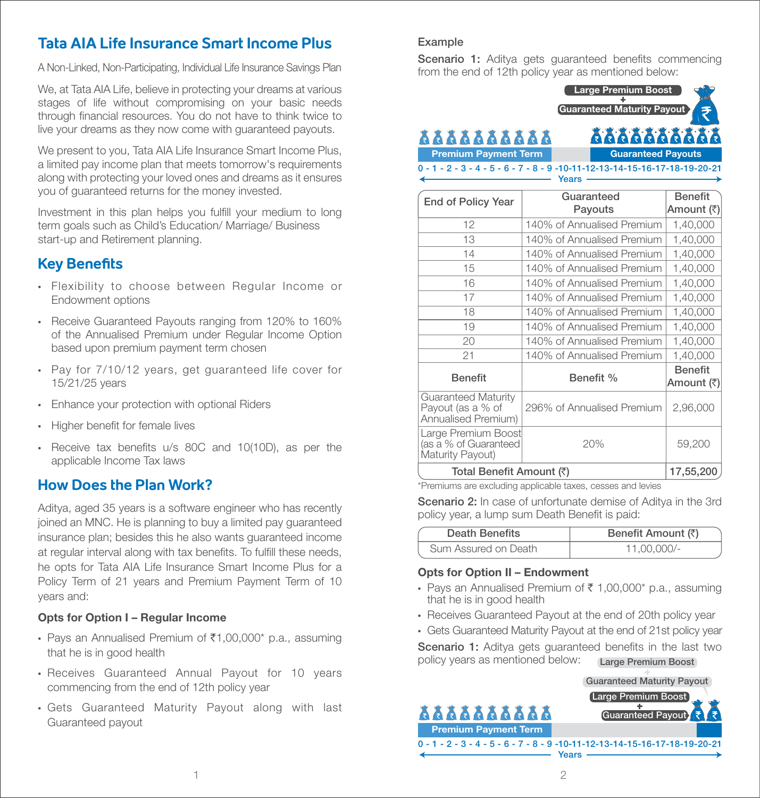## **Tata AIA Life Insurance Smart Income Plus**

A Non-Linked, Non-Participating, Individual Life Insurance Savings Plan

We, at Tata AIA Life, believe in protecting your dreams at various stages of life without compromising on your basic needs through financial resources. You do not have to think twice to live your dreams as they now come with guaranteed payouts.

We present to you, Tata AIA Life Insurance Smart Income Plus, a limited pay income plan that meets tomorrow's requirements along with protecting your loved ones and dreams as it ensures you of guaranteed returns for the money invested.

Investment in this plan helps you fulfill your medium to long term goals such as Child's Education/ Marriage/ Business start-up and Retirement planning.

## **Key Benefits**

- Flexibility to choose between Regular Income or Endowment options
- Receive Guaranteed Payouts ranging from 120% to 160% of the Annualised Premium under Regular Income Option based upon premium payment term chosen
- Pay for 7/10/12 years, get guaranteed life cover for 15/21/25 years
- Enhance your protection with optional Riders
- Higher benefit for female lives
- Receive tax benefits u/s 80C and 10(10D), as per the applicable Income Tax laws

## **How Does the Plan Work?**

Aditya, aged 35 years is a software engineer who has recently joined an MNC. He is planning to buy a limited pay guaranteed insurance plan; besides this he also wants guaranteed income at regular interval along with tax benefits. To fulfill these needs, he opts for Tata AIA Life Insurance Smart Income Plus for a Policy Term of 21 years and Premium Payment Term of 10 years and:

#### Opts for Option I – Regular Income

- Pays an Annualised Premium of  $\bar{\tau}1,00,000^*$  p.a., assuming that he is in good health
- Receives Guaranteed Annual Payout for 10 years commencing from the end of 12th policy year
- Gets Guaranteed Maturity Payout along with last Guaranteed payout

#### Example

Scenario 1: Aditya gets guaranteed benefits commencing from the end of 12th policy year as mentioned below:



| <b>End of Policy Year</b>                                              | Guaranteed<br>Payouts      | <b>Benefit</b><br>Amount (₹) |
|------------------------------------------------------------------------|----------------------------|------------------------------|
| 12                                                                     | 140% of Annualised Premium | 1,40,000                     |
| 13                                                                     | 140% of Annualised Premium | 1,40,000                     |
| 14                                                                     | 140% of Annualised Premium | 1,40,000                     |
| 15                                                                     | 140% of Annualised Premium | 1,40,000                     |
| 16                                                                     | 140% of Annualised Premium | 1,40,000                     |
| 17                                                                     | 140% of Annualised Premium | 1,40,000                     |
| 18                                                                     | 140% of Annualised Premium | 1,40,000                     |
| 19                                                                     | 140% of Annualised Premium | 1,40,000                     |
| 20                                                                     | 140% of Annualised Premium | 1,40,000                     |
| 21                                                                     | 140% of Annualised Premium | 1,40,000                     |
| <b>Benefit</b>                                                         | Benefit %                  | <b>Benefit</b><br>Amount (₹) |
| <b>Guaranteed Maturity</b><br>Payout (as a % of<br>Annualised Premium) | 296% of Annualised Premium | 2,96,000                     |
| Large Premium Boost<br>(as a % of Guaranteed<br>Maturity Payout)       | 20%                        | 59,200                       |
| Total Benefit Amount (₹)                                               | 17,55,200                  |                              |

\*Premiums are excluding applicable taxes, cesses and levies

Scenario 2: In case of unfortunate demise of Aditya in the 3rd policy year, a lump sum Death Benefit is paid:

| Death Benefits       | Benefit Amount (₹) |
|----------------------|--------------------|
| Sum Assured on Death | $11.00.000/-$      |

#### Opts for Option II – Endowment

- Pays an Annualised Premium of  $\bar{\tau}$  1,00,000\* p.a., assuming that he is in good health
- Receives Guaranteed Payout at the end of 20th policy year
- Gets Guaranteed Maturity Payout at the end of 21st policy year

Scenario 1: Aditva gets guaranteed benefits in the last two policy years as mentioned below: Large Premium Boost

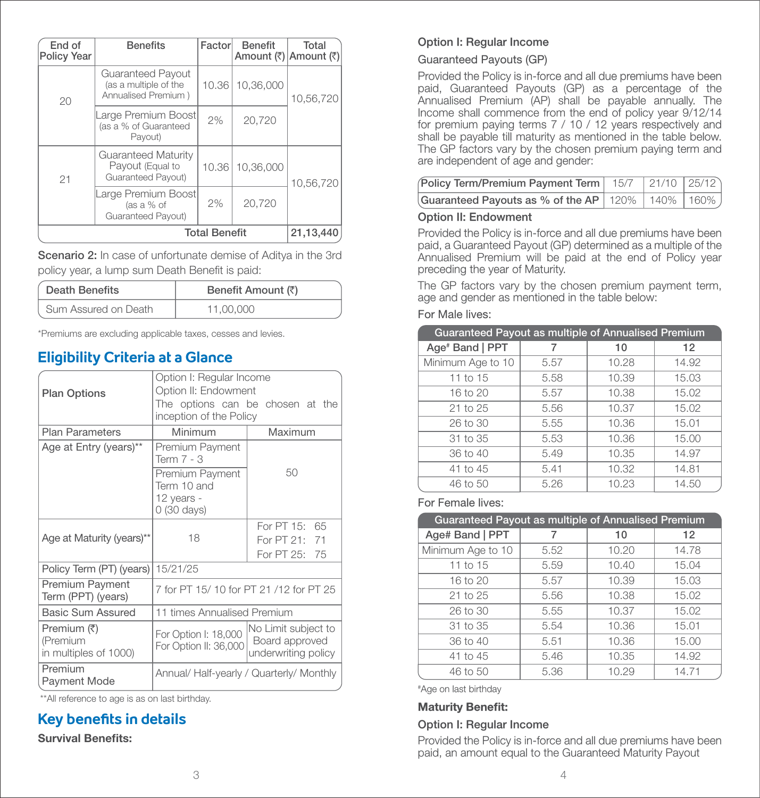| End of<br><b>Policy Year</b> | <b>Benefits</b>                                                   | Factor | <b>Benefit</b><br>Amount (₹) Amount (₹) | Total     |
|------------------------------|-------------------------------------------------------------------|--------|-----------------------------------------|-----------|
| 20                           | Guaranteed Payout<br>(as a multiple of the<br>Annualised Premium) | 10.36  | 10,36,000                               | 10,56,720 |
|                              | arge Premium Boost<br>(as a % of Guaranteed<br>Payout)            | 2%     | 20,720                                  |           |
| 21                           | Guaranteed Maturity<br>Payout (Equal to<br>Guaranteed Payout)     | 10.36  | 10,36,000                               | 10,56,720 |
|                              | Large Premium Boost<br>(as a % of<br>Guaranteed Payout)           | 2%     | 20,720                                  |           |
|                              | <b>Total Benefit</b>                                              |        |                                         | 21,13,440 |

Scenario 2: In case of unfortunate demise of Aditya in the 3rd policy year, a lump sum Death Benefit is paid:

| Death Benefits       | Benefit Amount (₹) |
|----------------------|--------------------|
| Sum Assured on Death | 11.00.000          |

\*Premiums are excluding applicable taxes, cesses and levies.

## **Eligibility Criteria at a Glance**

| <b>Plan Options</b>                              | Option I: Regular Income<br>Option II: Endowment            |                                                                     |  |
|--------------------------------------------------|-------------------------------------------------------------|---------------------------------------------------------------------|--|
|                                                  | The options can be chosen at the<br>inception of the Policy |                                                                     |  |
| <b>Plan Parameters</b>                           | Minimum                                                     | Maximum                                                             |  |
| Age at Entry (years)**                           | Premium Payment<br>Term 7 - 3                               |                                                                     |  |
|                                                  | Premium Payment<br>Term 10 and<br>12 years -<br>0 (30 days) | 50                                                                  |  |
| Age at Maturity (years)**                        | 18                                                          | For PT 15: 65<br>For PT 21: 71<br>For PT 25: 75                     |  |
| Policy Term (PT) (years)                         | 15/21/25                                                    |                                                                     |  |
| <b>Premium Payment</b><br>Term (PPT) (years)     | 7 for PT 15/10 for PT 21/12 for PT 25                       |                                                                     |  |
| Basic Sum Assured                                | 11 times Annualised Premium                                 |                                                                     |  |
| Premium (₹)<br>(Premium<br>in multiples of 1000) | For Option I: 18,000<br>For Option II: 36,000               | <b>No Limit subject to</b><br>Board approved<br>underwriting policy |  |
| Premium<br><b>Payment Mode</b>                   | Annual/ Half-yearly / Quarterly/ Monthly                    |                                                                     |  |

\*\*All reference to age is as on last birthday.

## **Key benefits in details**

#### **Survival Benefits:**

#### Option I: Regular Income

#### Guaranteed Payouts (GP)

Provided the Policy is in-force and all due premiums have been paid, Guaranteed Payouts (GP) as a percentage of the Annualised Premium (AP) shall be payable annually. The Income shall commence from the end of policy year 9/12/14 for premium paying terms 7 / 10 / 12 years respectively and shall be payable till maturity as mentioned in the table below. The GP factors vary by the chosen premium paying term and are independent of age and gender:

| Policy Term/Premium Payment Term   15/7   21/10   25/12 |  |  |
|---------------------------------------------------------|--|--|
| Guaranteed Payouts as % of the AP 120% 140% 160%)       |  |  |

#### Option II: Endowment

Provided the Policy is in-force and all due premiums have been paid, a Guaranteed Payout (GP) determined as a multiple of the Annualised Premium will be paid at the end of Policy year preceding the year of Maturity.

The GP factors vary by the chosen premium payment term, age and gender as mentioned in the table below:

#### For Male lives:

| Guaranteed Payout as multiple of Annualised Premium |      |       |       |
|-----------------------------------------------------|------|-------|-------|
| Age <sup>#</sup> Band   PPT                         |      | 10    | 12    |
| Minimum Age to 10                                   | 5.57 | 10.28 | 14.92 |
| 11 to 15                                            | 5.58 | 10.39 | 15.03 |
| 16 to 20                                            | 5.57 | 10.38 | 15.02 |
| $21$ to $25$                                        | 5.56 | 10.37 | 15.02 |
| 26 to 30                                            | 5.55 | 10.36 | 15.01 |
| 31 to 35                                            | 5.53 | 10.36 | 15.00 |
| 36 to 40                                            | 5.49 | 10.35 | 14.97 |
| 41 to 45                                            | 5.41 | 10.32 | 14.81 |
| 46 to 50                                            | 5.26 | 10.23 | 14.50 |

For Female lives:

| Guaranteed Payout as multiple of Annualised Premium |      |       |       |
|-----------------------------------------------------|------|-------|-------|
| Age# Band   PPT                                     |      | 10    | 12    |
| Minimum Age to 10                                   | 5.52 | 10.20 | 14.78 |
| 11 to 15                                            | 5.59 | 10.40 | 15.04 |
| 16 to 20                                            | 5.57 | 10.39 | 15.03 |
| $21$ to $25$                                        | 5.56 | 10.38 | 15.02 |
| 26 to 30                                            | 5.55 | 10.37 | 15.02 |
| 31 to 35                                            | 5.54 | 10.36 | 15.01 |
| 36 to 40                                            | 5.51 | 10.36 | 15.00 |
| 41 to 45                                            | 5.46 | 10.35 | 14.92 |
| 46 to 50                                            | 5.36 | 10.29 | 14.71 |

# Age on last birthday

#### **Maturity Benefit:**

#### Option I: Regular Income

Provided the Policy is in-force and all due premiums have been paid, an amount equal to the Guaranteed Maturity Payout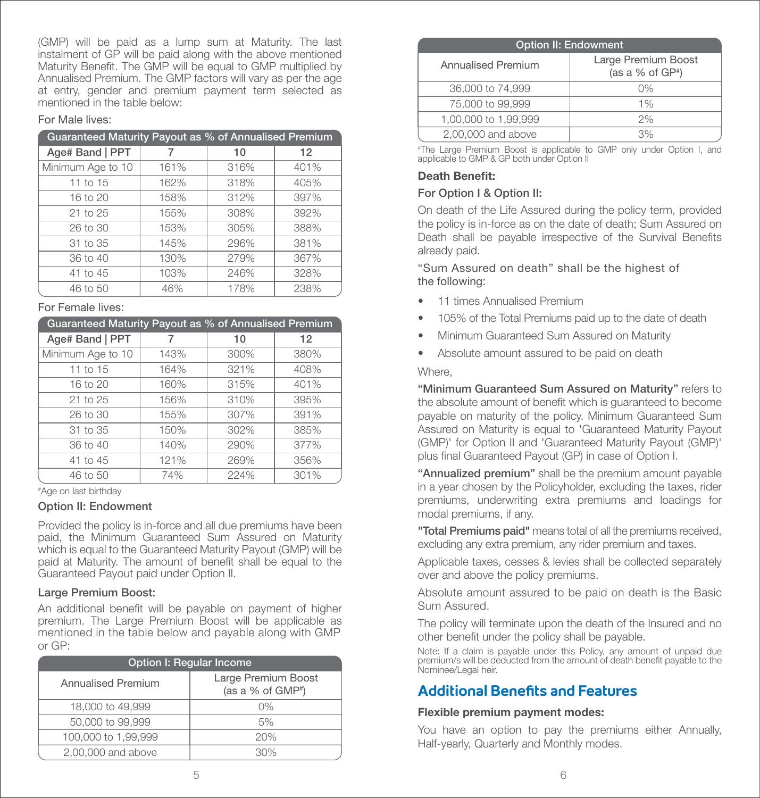(GMP) will be paid as a lump sum at Maturity. The last instalment of GP will be paid along with the above mentioned Maturity Benefit. The GMP will be equal to GMP multiplied by Annualised Premium. The GMP factors will vary as per the age at entry, gender and premium payment term selected as mentioned in the table below:

#### For Male lives:

| Guaranteed Maturity Payout as % of Annualised Premium |      |      |      |
|-------------------------------------------------------|------|------|------|
| Age# Band   PPT                                       |      | 10   | 12   |
| Minimum Age to 10                                     | 161% | 316% | 401% |
| 11 to 15                                              | 162% | 318% | 405% |
| 16 to 20                                              | 158% | 312% | 397% |
| $21$ to $25$                                          | 155% | 308% | 392% |
| 26 to 30                                              | 153% | 305% | 388% |
| 31 to 35                                              | 145% | 296% | 381% |
| 36 to 40                                              | 130% | 279% | 367% |
| 41 to 45                                              | 103% | 246% | 328% |
| 46 to 50                                              | 46%  | 178% | 238% |

#### For Female lives:

| Guaranteed Maturity Payout as % of Annualised Premium |      |      |      |
|-------------------------------------------------------|------|------|------|
| Age# Band   PPT                                       |      | 10   | 12   |
| Minimum Age to 10                                     | 143% | 300% | 380% |
| 11 to 15                                              | 164% | 321% | 408% |
| 16 to 20                                              | 160% | 315% | 401% |
| $21$ to $25$                                          | 156% | 310% | 395% |
| 26 to 30                                              | 155% | 307% | 391% |
| 31 to 35                                              | 150% | 302% | 385% |
| 36 to 40                                              | 140% | 290% | 377% |
| 41 to 45                                              | 121% | 269% | 356% |
| 46 to 50                                              | 74%  | 224% | 301% |

# Age on last birthday

#### Option II: Endowment

Provided the policy is in-force and all due premiums have been paid, the Minimum Guaranteed Sum Assured on Maturity which is equal to the Guaranteed Maturity Payout (GMP) will be paid at Maturity. The amount of benefit shall be equal to the Guaranteed Payout paid under Option II.

#### Large Premium Boost:

An additional benefit will be payable on payment of higher premium. The Large Premium Boost will be applicable as mentioned in the table below and payable along with GMP or GP:

| Option I: Regular Income  |                                             |  |
|---------------------------|---------------------------------------------|--|
| <b>Annualised Premium</b> | Large Premium Boost<br>(as a % of $GMP^*$ ) |  |
| 18,000 to 49,999          | 0%                                          |  |
| 50,000 to 99,999          | 5%                                          |  |
| 100,000 to 1,99,999       | 20%                                         |  |
| 2,00,000 and above        | $30\%$                                      |  |

| <b>Option II: Endowment</b> |                                            |  |
|-----------------------------|--------------------------------------------|--|
| Annualised Premium          | Large Premium Boost<br>(as a % of $GP^*$ ) |  |
| 36,000 to 74,999            | $0\%$                                      |  |
| 75,000 to 99,999            | $1\%$                                      |  |
| 1,00,000 to 1,99,999        | 2%                                         |  |
| 2,00,000 and above          | 3%                                         |  |

# The Large Premium Boost is applicable to GMP only under Option I, and applicable to GMP & GP both under Option II

#### Death Benefit:

#### For Option I & Option II:

On death of the Life Assured during the policy term, provided the policy is in-force as on the date of death; Sum Assured on Death shall be payable irrespective of the Survival Benefits already paid.

"Sum Assured on death" shall be the highest of the following:

- 11 times Annualised Premium
- 105% of the Total Premiums paid up to the date of death
- Minimum Guaranteed Sum Assured on Maturity
- Absolute amount assured to be paid on death

#### Where,

"Minimum Guaranteed Sum Assured on Maturity" refers to the absolute amount of benefit which is guaranteed to become payable on maturity of the policy. Minimum Guaranteed Sum Assured on Maturity is equal to 'Guaranteed Maturity Payout (GMP)' for Option II and 'Guaranteed Maturity Payout (GMP)' plus final Guaranteed Payout (GP) in case of Option I.

"Annualized premium" shall be the premium amount payable in a year chosen by the Policyholder, excluding the taxes, rider premiums, underwriting extra premiums and loadings for modal premiums, if any.

"Total Premiums paid" means total of all the premiums received, excluding any extra premium, any rider premium and taxes.

Applicable taxes, cesses & levies shall be collected separately over and above the policy premiums.

Absolute amount assured to be paid on death is the Basic Sum Assured.

The policy will terminate upon the death of the Insured and no other benefit under the policy shall be payable.

Note: If a claim is payable under this Policy, any amount of unpaid due premium/s will be deducted from the amount of death benefit payable to the Nominee/Legal heir.

## **Additional Benefits and Features**

#### Flexible premium payment modes:

You have an option to pay the premiums either Annually, Half-yearly, Quarterly and Monthly modes.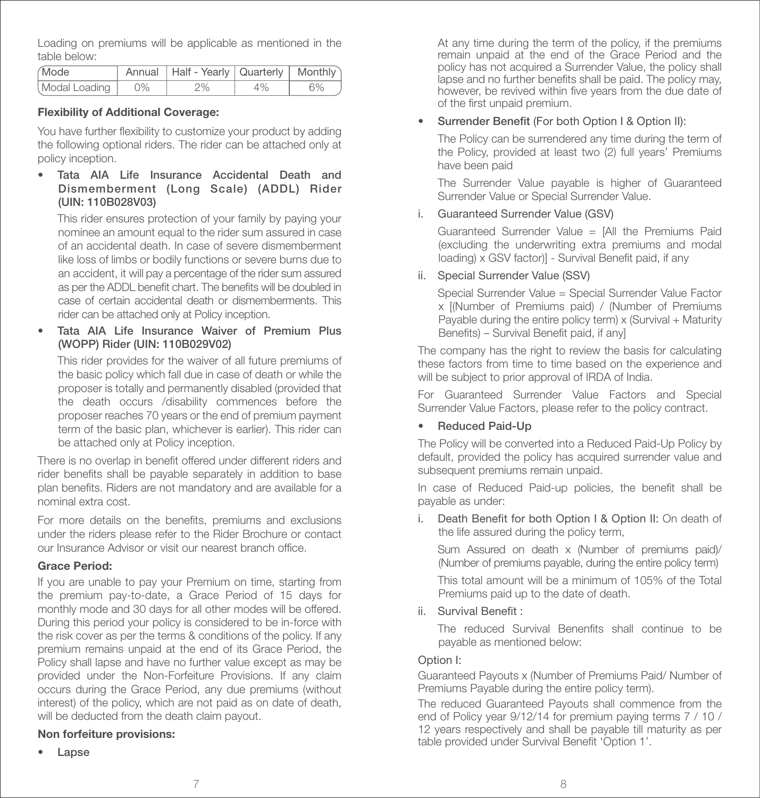Loading on premiums will be applicable as mentioned in the table below:

| Mode               | Annual   Half - Yearly   Quarterly   Monthly |    |    |
|--------------------|----------------------------------------------|----|----|
| Modal Loading   0% | 2%                                           | 4% | 6% |

#### Flexibility of Additional Coverage:

You have further flexibility to customize your product by adding the following optional riders. The rider can be attached only at policy inception.

• Tata AIA Life Insurance Accidental Death and Dismemberment (Long Scale) (ADDL) Rider (UIN: 110B028V03)

 This rider ensures protection of your family by paying your nominee an amount equal to the rider sum assured in case of an accidental death. In case of severe dismemberment like loss of limbs or bodily functions or severe burns due to an accident, it will pay a percentage of the rider sum assured as per the ADDL benefit chart. The benefits will be doubled in case of certain accidental death or dismemberments. This rider can be attached only at Policy inception.

Tata AIA Life Insurance Waiver of Premium Plus (WOPP) Rider (UIN: 110B029V02)

 This rider provides for the waiver of all future premiums of the basic policy which fall due in case of death or while the proposer is totally and permanently disabled (provided that the death occurs /disability commences before the proposer reaches 70 years or the end of premium payment term of the basic plan, whichever is earlier). This rider can be attached only at Policy inception.

There is no overlap in benefit offered under different riders and rider benefits shall be payable separately in addition to base plan benefits. Riders are not mandatory and are available for a nominal extra cost.

For more details on the benefits, premiums and exclusions under the riders please refer to the Rider Brochure or contact our Insurance Advisor or visit our nearest branch office.

#### Grace Period:

If you are unable to pay your Premium on time, starting from the premium pay-to-date, a Grace Period of 15 days for monthly mode and 30 days for all other modes will be offered. During this period your policy is considered to be in-force with the risk cover as per the terms & conditions of the policy. If any premium remains unpaid at the end of its Grace Period, the Policy shall lapse and have no further value except as may be provided under the Non-Forfeiture Provisions. If any claim occurs during the Grace Period, any due premiums (without interest) of the policy, which are not paid as on date of death, will be deducted from the death claim payout.

#### Non forfeiture provisions:

• Lapse

At any time during the term of the policy, if the premiums remain unpaid at the end of the Grace Period and the policy has not acquired a Surrender Value, the policy shall lapse and no further benefits shall be paid. The policy may, however, be revived within five years from the due date of of the first unpaid premium.

#### • Surrender Benefit (For both Option I & Option II):

The Policy can be surrendered any time during the term of the Policy, provided at least two (2) full years' Premiums have been paid

The Surrender Value payable is higher of Guaranteed Surrender Value or Special Surrender Value.

i. Guaranteed Surrender Value (GSV)

 Guaranteed Surrender Value = [All the Premiums Paid (excluding the underwriting extra premiums and modal loading) x GSV factor)] - Survival Benefit paid, if any

ii. Special Surrender Value (SSV)

 Special Surrender Value = Special Surrender Value Factor x [(Number of Premiums paid) / (Number of Premiums Payable during the entire policy term) x (Survival + Maturity Benefits) – Survival Benefit paid, if anyl

The company has the right to review the basis for calculating these factors from time to time based on the experience and will be subject to prior approval of IRDA of India.

For Guaranteed Surrender Value Factors and Special Surrender Value Factors, please refer to the policy contract.

#### • Reduced Paid-Up

The Policy will be converted into a Reduced Paid-Up Policy by default, provided the policy has acquired surrender value and subsequent premiums remain unpaid.

In case of Reduced Paid-up policies, the benefit shall be payable as under:

i. Death Benefit for both Option I & Option II: On death of the life assured during the policy term,

Sum Assured on death x (Number of premiums paid)/ (Number of premiums payable, during the entire policy term)

 This total amount will be a minimum of 105% of the Total Premiums paid up to the date of death.

ii. Survival Benefit:

The reduced Survival Benenfits shall continue to be payable as mentioned below:

#### Option I:

Guaranteed Payouts x (Number of Premiums Paid/ Number of Premiums Payable during the entire policy term).

The reduced Guaranteed Payouts shall commence from the end of Policy year 9/12/14 for premium paying terms 7 / 10 / 12 years respectively and shall be payable till maturity as per table provided under Survival Benefit 'Option 1'.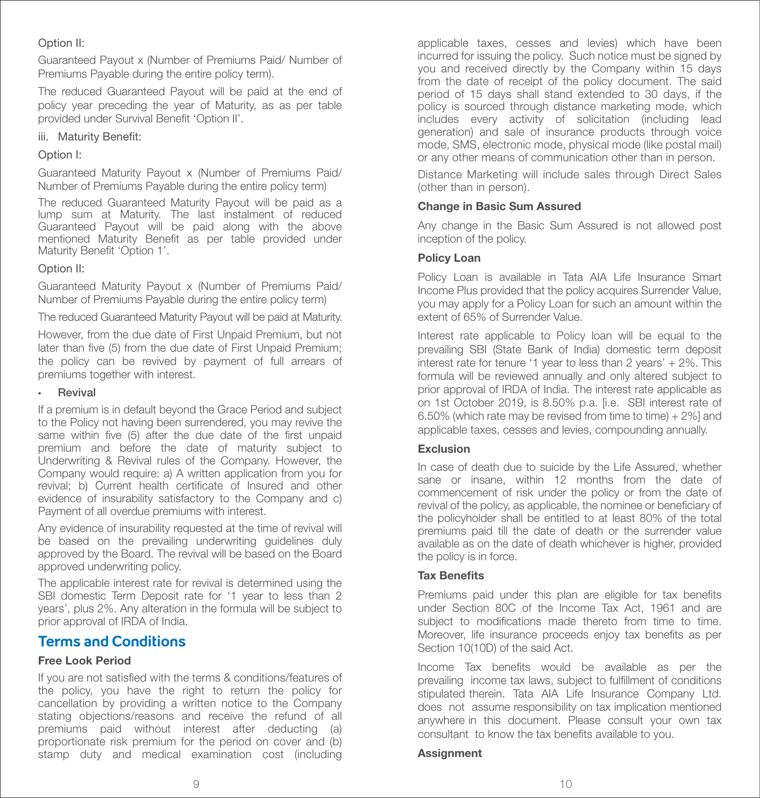#### Option II:

Guaranteed Payout x (Number of Premiums Paid/ Number of Premiums Payable during the entire policy term).

The reduced Guaranteed Payout will be paid at the end of policy year preceding the year of Maturity, as as per table provided under Survival Benefit 'Option II'.

iii. Maturity Benefit:

#### Option I:

Guaranteed Maturity Payout x (Number of Premiums Paid/ Number of Premiums Payable during the entire policy term)

The reduced Guaranteed Maturity Payout will be paid as a lump sum at Maturity. The last instalment of reduced Guaranteed Payout will be paid along with the above mentioned Maturity Benefit as per table provided under Maturity Benefit 'Option 1'.

#### Option II:

Guaranteed Maturity Payout x (Number of Premiums Paid/ Number of Premiums Payable during the entire policy term)

The reduced Guaranteed Maturity Payout will be paid at Maturity.

However, from the due date of First Unpaid Premium, but not later than five (5) from the due date of First Unpaid Premium; the policy can be revived by payment of full arrears of premiums together with interest.

#### **Revival**

If a premium is in default beyond the Grace Period and subject to the Policy not having been surrendered, you may revive the same within five (5) after the due date of the first unpaid premium and before the date of maturity subject to Underwriting & Revival rules of the Company. However, the Company would require: a) A written application from you for revival; b) Current health certificate of Insured and other evidence of insurability satisfactory to the Company and c) Payment of all overdue premiums with interest.

Any evidence of insurability requested at the time of revival will be based on the prevailing underwriting guidelines duly approved by the Board. The revival will be based on the Board approved underwriting policy.

The applicable interest rate for revival is determined using the SBI domestic Term Deposit rate for '1 year to less than 2 years', plus 2%. Any alteration in the formula will be subject to prior approval of IRDA of India.

### **Terms and Conditions**

#### Free Look Period

If you are not satisfied with the terms & conditions/features of the policy, you have the right to return the policy for cancellation by providing a written notice to the Company stating objections/reasons and receive the refund of all premiums paid without interest after deducting (a) proportionate risk premium for the period on cover and (b) stamp duty and medical examination cost (including

applicable taxes, cesses and levies) which have been incurred for issuing the policy. Such notice must be signed by you and received directly by the Company within 15 days from the date of receipt of the policy document. The said period of 15 days shall stand extended to 30 days, if the policy is sourced through distance marketing mode, which includes every activity of solicitation (including lead generation) and sale of insurance products through voice mode, SMS, electronic mode, physical mode (like postal mail) or any other means of communication other than in person.

Distance Marketing will include sales through Direct Sales (other than in person).

#### Change in Basic Sum Assured

Any change in the Basic Sum Assured is not allowed post inception of the policy.

#### Policy Loan

Policy Loan is available in Tata AIA Life Insurance Smart Income Plus provided that the policy acquires Surrender Value, you may apply for a Policy Loan for such an amount within the extent of 65% of Surrender Value.

Interest rate applicable to Policy loan will be equal to the prevailing SBI (State Bank of India) domestic term deposit interest rate for tenure '1 year to less than 2 years' + 2%. This formula will be reviewed annually and only altered subject to prior approval of IRDA of India. The interest rate applicable as on 1st October 2019, is 8.50% p.a. [i.e. SBI interest rate of 6.50% (which rate may be revised from time to time) + 2%] and applicable taxes, cesses and levies, compounding annually.

#### Exclusion

In case of death due to suicide by the Life Assured, whether sane or insane, within 12 months from the date of commencement of risk under the policy or from the date of revival of the policy, as applicable, the nominee or beneficiary of the policyholder shall be entitled to at least 80% of the total premiums paid till the date of death or the surrender value available as on the date of death whichever is higher, provided the policy is in force.

#### **Tax Benefits**

Premiums paid under this plan are eligible for tax benefits under Section 80C of the Income Tax Act, 1961 and are subject to modifications made thereto from time to time. Moreover, life insurance proceeds enjoy tax benefits as per Section 10(10D) of the said Act.

Income Tax benefits would be available as per the prevailing income tax laws, subject to fulfillment of conditions stipulated therein. Tata AIA Life Insurance Company Ltd. does not assume responsibility on tax implication mentioned anywhere in this document. Please consult your own tax consultant to know the tax benefits available to you.

#### **Assignment**